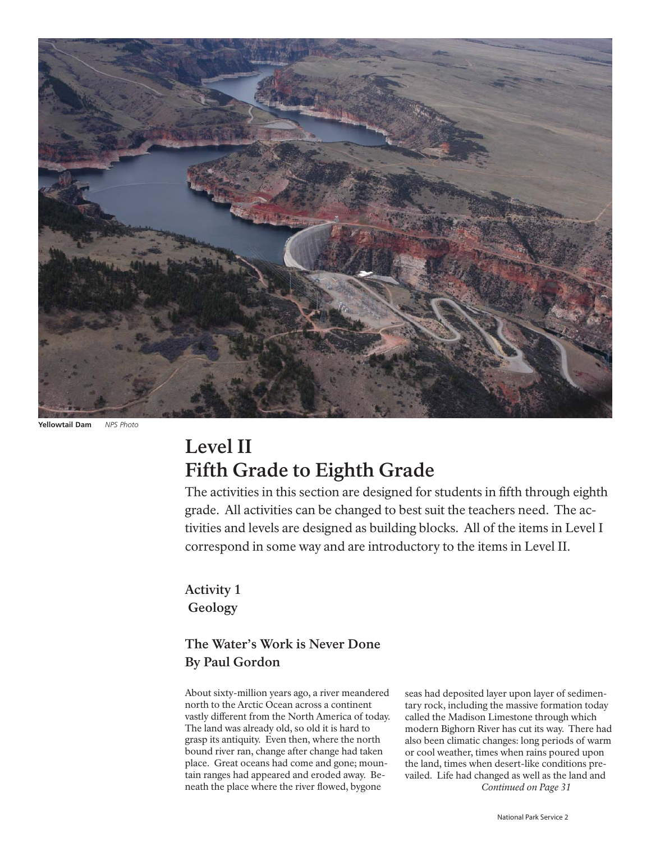

**Yellowtail Dam** *NPS Photo* 

## **Level II Fifth Grade to Eighth Grade**

The activities in this section are designed for students in fifth through eighth grade. All activities can be changed to best suit the teachers need. The activities and levels are designed as building blocks. All of the items in Level I correspond in some way and are introductory to the items in Level II.

**Activity 1 Geology** 

## **The Water's Work is Never Done By Paul Gordon**

About sixty-million years ago, a river meandered north to the Arctic Ocean across a continent vastly different from the North America of today. The land was already old, so old it is hard to grasp its antiquity. Even then, where the north bound river ran, change after change had taken place. Great oceans had come and gone; mountain ranges had appeared and eroded away. Beneath the place where the river flowed, bygone

seas had deposited layer upon layer of sedimentary rock, including the massive formation today called the Madison Limestone through which modern Bighorn River has cut its way. There had also been climatic changes: long periods of warm or cool weather, times when rains poured upon the land, times when desert-like conditions prevailed. Life had changed as well as the land and *Continued on Page 31*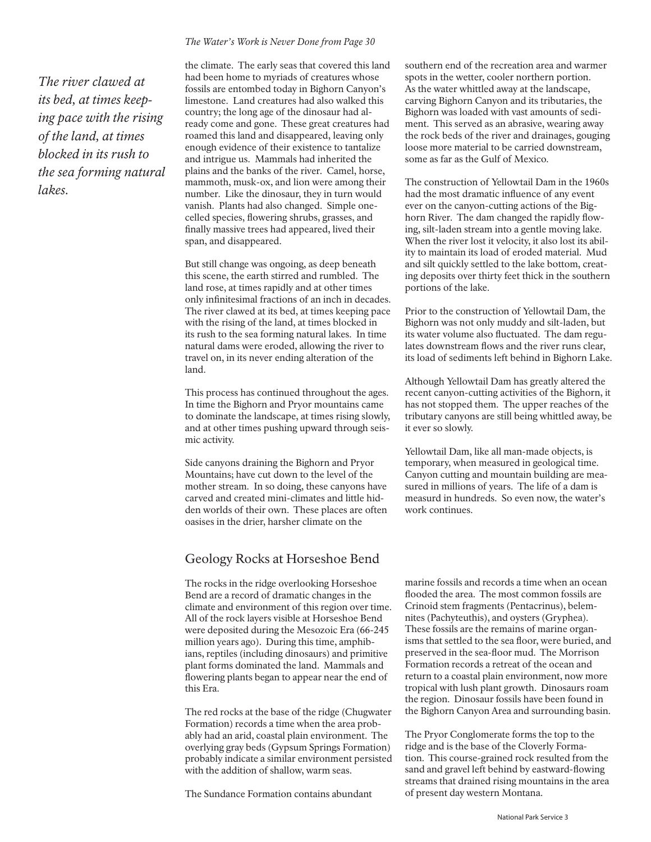### *The river clawed at its bed, at times keeping pace with the rising of the land, at times blocked in its rush to the sea forming natural lakes.*

#### *The Water's Work is Never Done from Page 30*

the climate. The early seas that covered this land had been home to myriads of creatures whose fossils are entombed today in Bighorn Canyon's limestone. Land creatures had also walked this country; the long age of the dinosaur had already come and gone. These great creatures had roamed this land and disappeared, leaving only enough evidence of their existence to tantalize and intrigue us. Mammals had inherited the plains and the banks of the river. Camel, horse, mammoth, musk-ox, and lion were among their number. Like the dinosaur, they in turn would vanish. Plants had also changed. Simple onecelled species, flowering shrubs, grasses, and finally massive trees had appeared, lived their span, and disappeared.

But still change was ongoing, as deep beneath this scene, the earth stirred and rumbled. The land rose, at times rapidly and at other times only infinitesimal fractions of an inch in decades. The river clawed at its bed, at times keeping pace with the rising of the land, at times blocked in its rush to the sea forming natural lakes. In time natural dams were eroded, allowing the river to travel on, in its never ending alteration of the land.

This process has continued throughout the ages. In time the Bighorn and Pryor mountains came to dominate the landscape, at times rising slowly, and at other times pushing upward through seismic activity.

Side canyons draining the Bighorn and Pryor Mountains; have cut down to the level of the mother stream. In so doing, these canyons have carved and created mini-climates and little hidden worlds of their own. These places are often oasises in the drier, harsher climate on the

#### Geology Rocks at Horseshoe Bend

The rocks in the ridge overlooking Horseshoe Bend are a record of dramatic changes in the climate and environment of this region over time. All of the rock layers visible at Horseshoe Bend were deposited during the Mesozoic Era (66-245 million years ago). During this time, amphibians, reptiles (including dinosaurs) and primitive plant forms dominated the land. Mammals and flowering plants began to appear near the end of this Era.

The red rocks at the base of the ridge (Chugwater Formation) records a time when the area probably had an arid, coastal plain environment. The overlying gray beds (Gypsum Springs Formation) probably indicate a similar environment persisted with the addition of shallow, warm seas.

The Sundance Formation contains abundant

southern end of the recreation area and warmer spots in the wetter, cooler northern portion. As the water whittled away at the landscape, carving Bighorn Canyon and its tributaries, the Bighorn was loaded with vast amounts of sediment. This served as an abrasive, wearing away the rock beds of the river and drainages, gouging loose more material to be carried downstream, some as far as the Gulf of Mexico.

The construction of Yellowtail Dam in the 1960s had the most dramatic influence of any event ever on the canyon-cutting actions of the Bighorn River. The dam changed the rapidly flowing, silt-laden stream into a gentle moving lake. When the river lost it velocity, it also lost its ability to maintain its load of eroded material. Mud and silt quickly settled to the lake bottom, creating deposits over thirty feet thick in the southern portions of the lake.

Prior to the construction of Yellowtail Dam, the Bighorn was not only muddy and silt-laden, but its water volume also fluctuated. The dam regulates downstream flows and the river runs clear, its load of sediments left behind in Bighorn Lake.

Although Yellowtail Dam has greatly altered the recent canyon-cutting activities of the Bighorn, it has not stopped them. The upper reaches of the tributary canyons are still being whittled away, be it ever so slowly.

Yellowtail Dam, like all man-made objects, is temporary, when measured in geological time. Canyon cutting and mountain building are measured in millions of years. The life of a dam is measurd in hundreds. So even now, the water's work continues.

marine fossils and records a time when an ocean flooded the area. The most common fossils are Crinoid stem fragments (Pentacrinus), belemnites (Pachyteuthis), and oysters (Gryphea). These fossils are the remains of marine organisms that settled to the sea floor, were buried, and preserved in the sea-floor mud. The Morrison Formation records a retreat of the ocean and return to a coastal plain environment, now more tropical with lush plant growth. Dinosaurs roam the region. Dinosaur fossils have been found in the Bighorn Canyon Area and surrounding basin.

The Pryor Conglomerate forms the top to the ridge and is the base of the Cloverly Formation. This course-grained rock resulted from the sand and gravel left behind by eastward-flowing streams that drained rising mountains in the area of present day western Montana.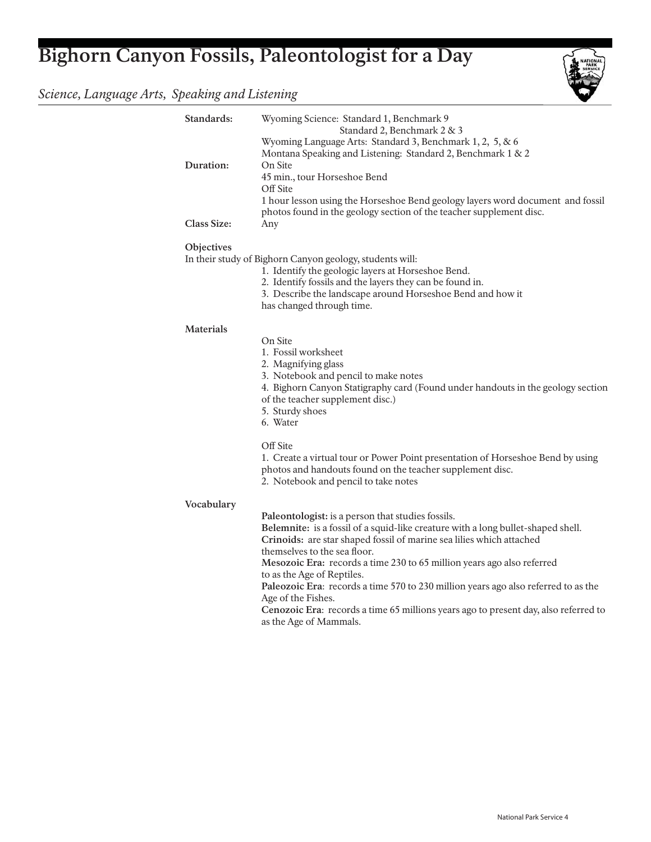# **Bighorn Canyon Fossils, Paleontologist for a Day**

## *Science, Language Arts, Speaking and Listening*

| Standards:         | Wyoming Science: Standard 1, Benchmark 9<br>Standard 2, Benchmark 2 & 3                                                                                                                  |
|--------------------|------------------------------------------------------------------------------------------------------------------------------------------------------------------------------------------|
| Duration:          | Wyoming Language Arts: Standard 3, Benchmark 1, 2, 5, & 6<br>Montana Speaking and Listening: Standard 2, Benchmark 1 & 2<br>On Site                                                      |
|                    | 45 min., tour Horseshoe Bend<br>Off Site                                                                                                                                                 |
| <b>Class Size:</b> | 1 hour lesson using the Horseshoe Bend geology layers word document and fossil<br>photos found in the geology section of the teacher supplement disc.<br>Any                             |
|                    |                                                                                                                                                                                          |
| Objectives         | In their study of Bighorn Canyon geology, students will:                                                                                                                                 |
|                    | 1. Identify the geologic layers at Horseshoe Bend.                                                                                                                                       |
|                    | 2. Identify fossils and the layers they can be found in.<br>3. Describe the landscape around Horseshoe Bend and how it                                                                   |
|                    | has changed through time.                                                                                                                                                                |
| <b>Materials</b>   |                                                                                                                                                                                          |
|                    | On Site                                                                                                                                                                                  |
|                    | 1. Fossil worksheet<br>2. Magnifying glass                                                                                                                                               |
|                    | 3. Notebook and pencil to make notes<br>4. Bighorn Canyon Statigraphy card (Found under handouts in the geology section                                                                  |
|                    | of the teacher supplement disc.)<br>5. Sturdy shoes                                                                                                                                      |
|                    | 6. Water                                                                                                                                                                                 |
|                    | Off Site                                                                                                                                                                                 |
|                    | 1. Create a virtual tour or Power Point presentation of Horseshoe Bend by using<br>photos and handouts found on the teacher supplement disc.<br>2. Notebook and pencil to take notes     |
| Vocabulary         |                                                                                                                                                                                          |
|                    | Paleontologist: is a person that studies fossils.                                                                                                                                        |
|                    | Belemnite: is a fossil of a squid-like creature with a long bullet-shaped shell.<br>Crinoids: are star shaped fossil of marine sea lilies which attached<br>themselves to the sea floor. |
|                    | Mesozoic Era: records a time 230 to 65 million years ago also referred<br>to as the Age of Reptiles.                                                                                     |
|                    | Paleozoic Era: records a time 570 to 230 million years ago also referred to as the<br>Age of the Fishes.                                                                                 |
|                    | Cenozoic Era: records a time 65 millions years ago to present day, also referred to<br>as the Age of Mammals.                                                                            |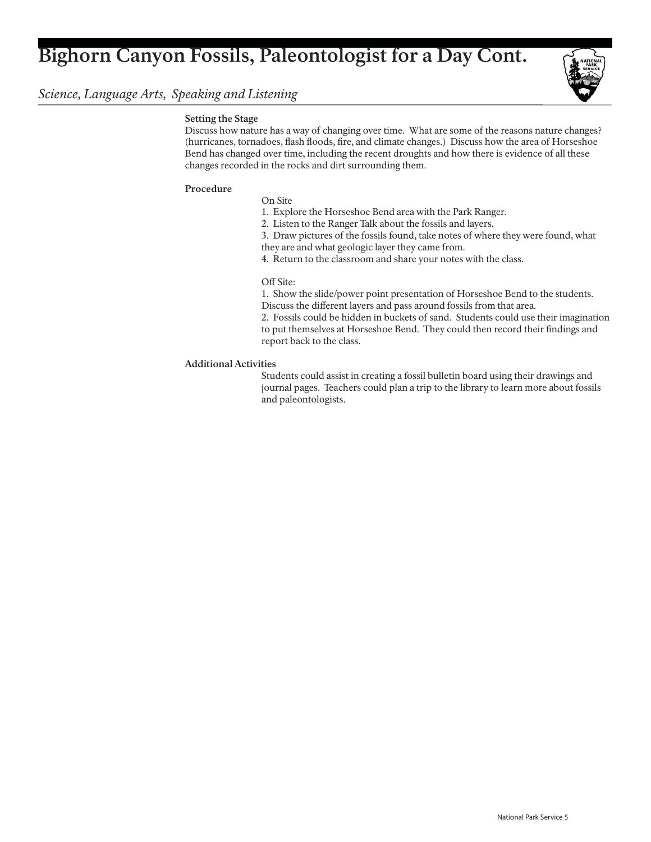## **Bighorn Canyon Fossils, Paleontologist for a Day Cont.**

### *Science, Language Arts, Speaking and Listening*



#### **Setting the Stage**

Discuss how nature has a way of changing over time. What are some of the reasons nature changes? (hurricanes, tornadoes, flash floods, fire, and climate changes.) Discuss how the area of Horseshoe Bend has changed over time, including the recent droughts and how there is evidence of all these changes recorded in the rocks and dirt surrounding them.

#### **Procedure**

- On Site
- 1. Explore the Horseshoe Bend area with the Park Ranger.
- 2. Listen to the Ranger Talk about the fossils and layers.
- 3. Draw pictures of the fossils found, take notes of where they were found, what
- they are and what geologic layer they came from.
- 4. Return to the classroom and share your notes with the class.

#### Off Site:

- 1. Show the slide/power point presentation of Horseshoe Bend to the students.
- Discuss the different layers and pass around fossils from that area.

 2. Fossils could be hidden in buckets of sand. Students could use their imagination to put themselves at Horseshoe Bend. They could then record their findings and report back to the class.

#### **Additional Activities**

 Students could assist in creating a fossil bulletin board using their drawings and journal pages. Teachers could plan a trip to the library to learn more about fossils and paleontologists.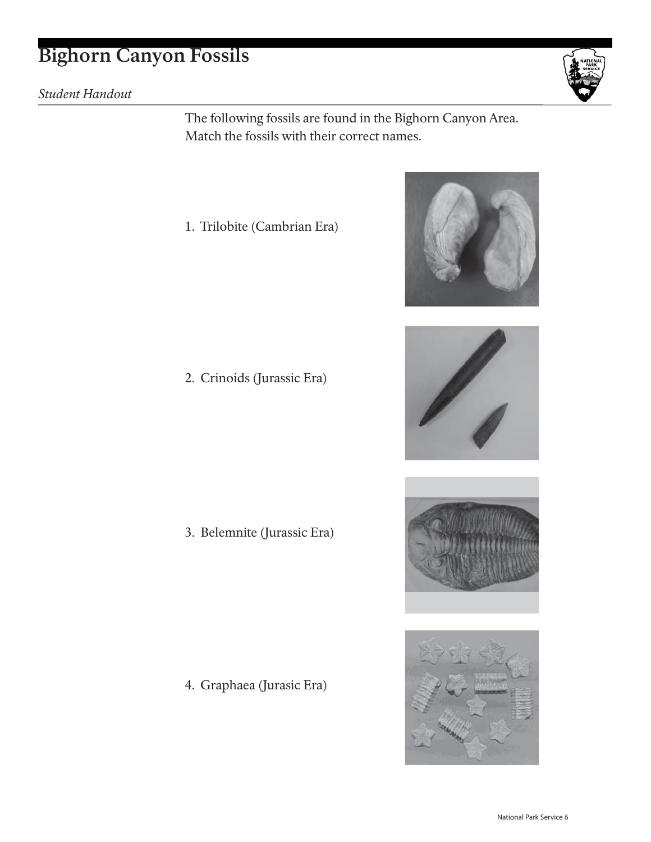## **Bighorn Canyon Fossils**

*Student Handout*



The following fossils are found in the Bighorn Canyon Area. Match the fossils with their correct names.

1. Trilobite (Cambrian Era)

2. Crinoids (Jurassic Era)

3. Belemnite (Jurassic Era)

4. Graphaea (Jurasic Era)